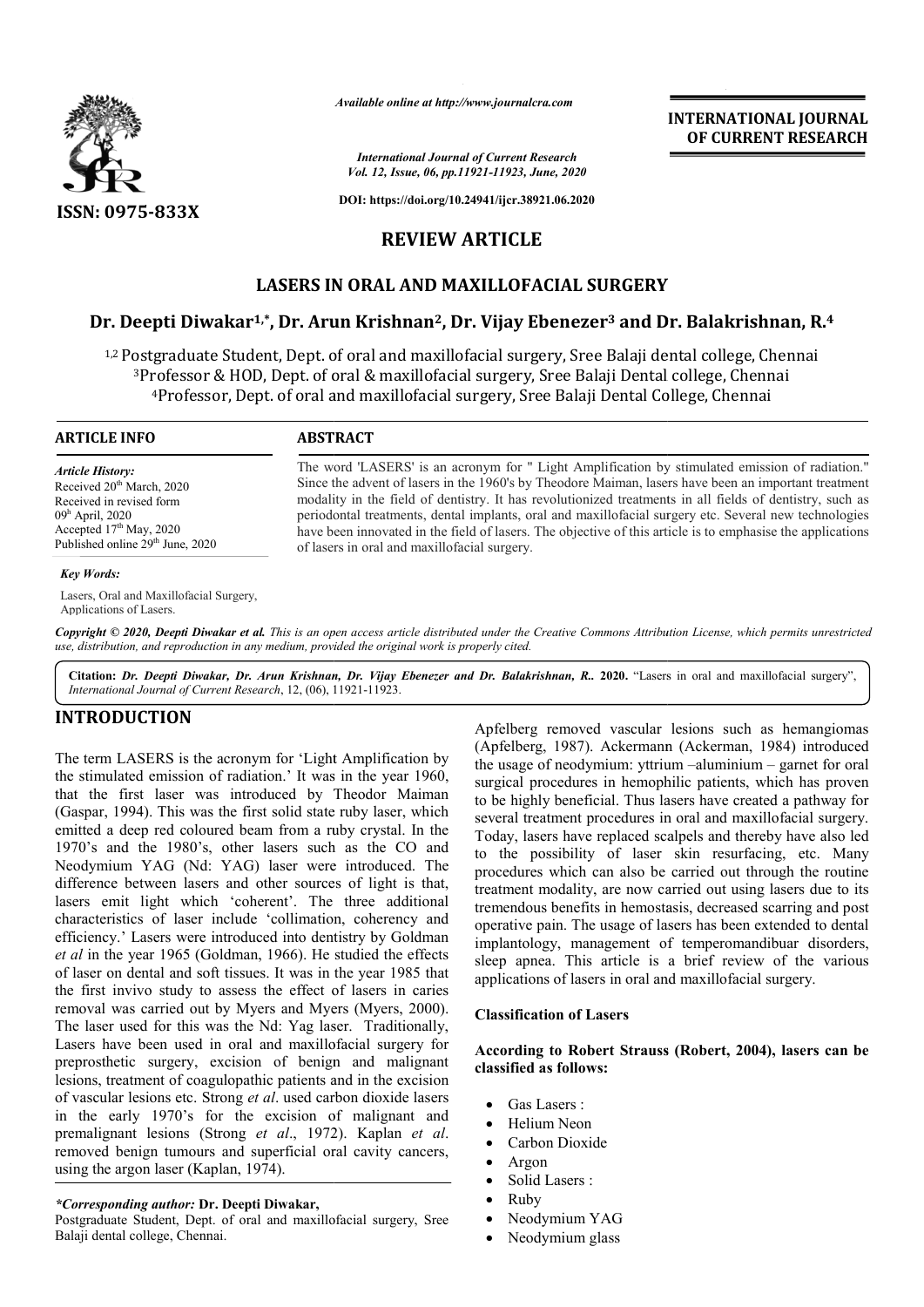

*Available online at http://www.journalcra.com*

*International Journal of Current Research Vol. 12, Issue, 06, pp.11921-11923, June, 2020*

**DOI: https://doi.org/10.24941/ijcr.38921.06.2020**

# **REVIEW ARTICLE**

# **LASERS IN ORAL AND MAXILLOFACIAL SURGERY**

# **Dr. Deepti Diwakar1,\*, Dr. Arun Krishnan , Krishnan2, Dr. Vijay Ebenezer3 and Dr. Balakrishnan SURGERYBalakrishnan, R. 4**

<sup>1,2</sup> Postgraduate Student, Dept. of oral and maxillofacial surgery, Sree Balaji dental college, Chennai <sup>3</sup>Professor & HOD, Dept. of oral & maxillofacial surgery, Sree Balaji Dental college, Chennai <sup>4</sup>Professor, Dept. of oral and maxillofacial surgery, Sree Balaji Dental College, Chennai

> The word 'LASERS' is an acronym for " Light Amplification by stimulated emission of radiation." Since the advent of lasers in the 1960's by Theodore Maiman, lasers have been an important treatment Since the advent of lasers in the 1960's by Theodore Maiman, lasers have been an important treatment modality in the field of dentistry. It has revolutionized treatments in all fields of dentistry, such as periodontal treatments, dental implants, oral and maxillofacial surgery etc. Several new technologies periodontal treatments, dental implants, oral and maxillofacial surgery etc. Several new technologies<br>have been innovated in the field of lasers. The objective of this article is to emphasise the applications

#### **ARTICLE INFO ABSTRACT**

*Article History:* Received 20<sup>th</sup> March, 2020 Received in revised form 09h April, 2020 Accepted 17<sup>th</sup> May, 2020 Published online 29<sup>th</sup> June, 2020

#### *Key Words:*

Lasers, Oral and Maxillofacial Surgery, Applications of Lasers.

Copyright © 2020, Deepti Diwakar et al. This is an open access article distributed under the Creative Commons Attribution License, which permits unrestrictea *use, distribution, and reproduction in any medium, provided the original work is properly cited.*

of lasers in oral and maxillofacial surgery.

Citation: Dr. Deepti Diwakar, Dr. Arun Krishnan, Dr. Vijay Ebenezer and Dr. Balakrishnan, R. 2020. "Lasers in oral and maxillofacial surgery", *International Journal of Current Research*, 12, (06), 11921 11921-11923.

## **INTRODUCTION**

The term LASERS is the acronym for 'Light Amplification by the stimulated emission of radiation.' It was in the year 1960, that the first laser was introduced by Theodor Maiman (Gaspar, 1994). This was the first solid state ruby laser, which emitted a deep red coloured beam from a ruby crystal. In the 1970's and the 1980's, other lasers such as the CO and Neodymium YAG (Nd: YAG) laser were introduced. The difference between lasers and other sources of light is that, lasers emit light which 'coherent'. The three additional characteristics of laser include 'collimation 'collimation, coherency and efficiency.' Lasers were introduced into dentistry by Goldman *et al* in the year 1965 (Goldman, 1966). He studied the effects et al in the year 1965 (Goldman, 1966). He studied the effects of laser on dental and soft tissues. It was in the year 1985 that the first invivo study to assess the effect of lasers in caries removal was carried out by Myers and Myers (Myers, 2000). The laser used for this was the Nd: Yag laser. Traditionally, Lasers have been used in oral and maxillofacial surgery for preprosthetic surgery, excision of benign and malignant lesions, treatment of coagulopathic patients and in the excision of vascular lesions etc. Strong *et al*. used carbon dioxide lasers in the early 1970's for the excision of malignant and premalignant lesions (Strong *et al.*, 1972). Kaplan *et al.* removed benign tumours and superficial oral cavity cancers, using the argon laser (Kaplan, 1974).

#### *\*Corresponding author:* **Dr. Deepti Diwakar,**

Postgraduate Student, Dept. of oral and maxillofacial surgery, Sree Balaji dental college, Chennai.

Apfelberg removed vascular lesions such as hemangiomas Apfelberg removed vascular lesions such as hemangiomas (Apfelberg, 1987). Ackermann (Ackerman, 1984) introduced the usage of neodymium: yttrium -aluminium - garnet for oral surgical procedures in hemophilic patients, which has proven to be highly beneficial. Thus lasers have created a pathway for several treatment procedures in oral and maxillofacial surgery. several treatment procedures in oral and maxillofacial surgery Today, lasers have replaced scalpels and thereby have also led Today, lasers have replaced scalpels and thereby have also led<br>to the possibility of laser skin resurfacing, etc. Many procedures which can also be carried out through the routine treatment modality, are now carried out using lasers due to its procedures which can also be carried out through the routine<br>treatment modality, are now carried out using lasers due to its<br>tremendous benefits in hemostasis, decreased scarring and post operative pain. The usage of lasers has been extended to dental implantology, management of temperomandibuar disorders, sleep apnea. This article is a brief review of the various applications of lasers in oral and maxillofacial surgery. applications of lasers in oral and maxillofacial surgery

**INTERNATIONAL JOURNAL OF CURRENT RESEARCH**

#### **Classification of Lasers**

#### **According to Robert Strauss Robert Strauss (Robert, 2004), lasers can be classified as follows:**

- Gas Lasers :
- Helium Neon
- Carbon Dioxide
- Argon
- Solid Lasers :
- Ruby
- Neodymium YAG
- Neodymium glass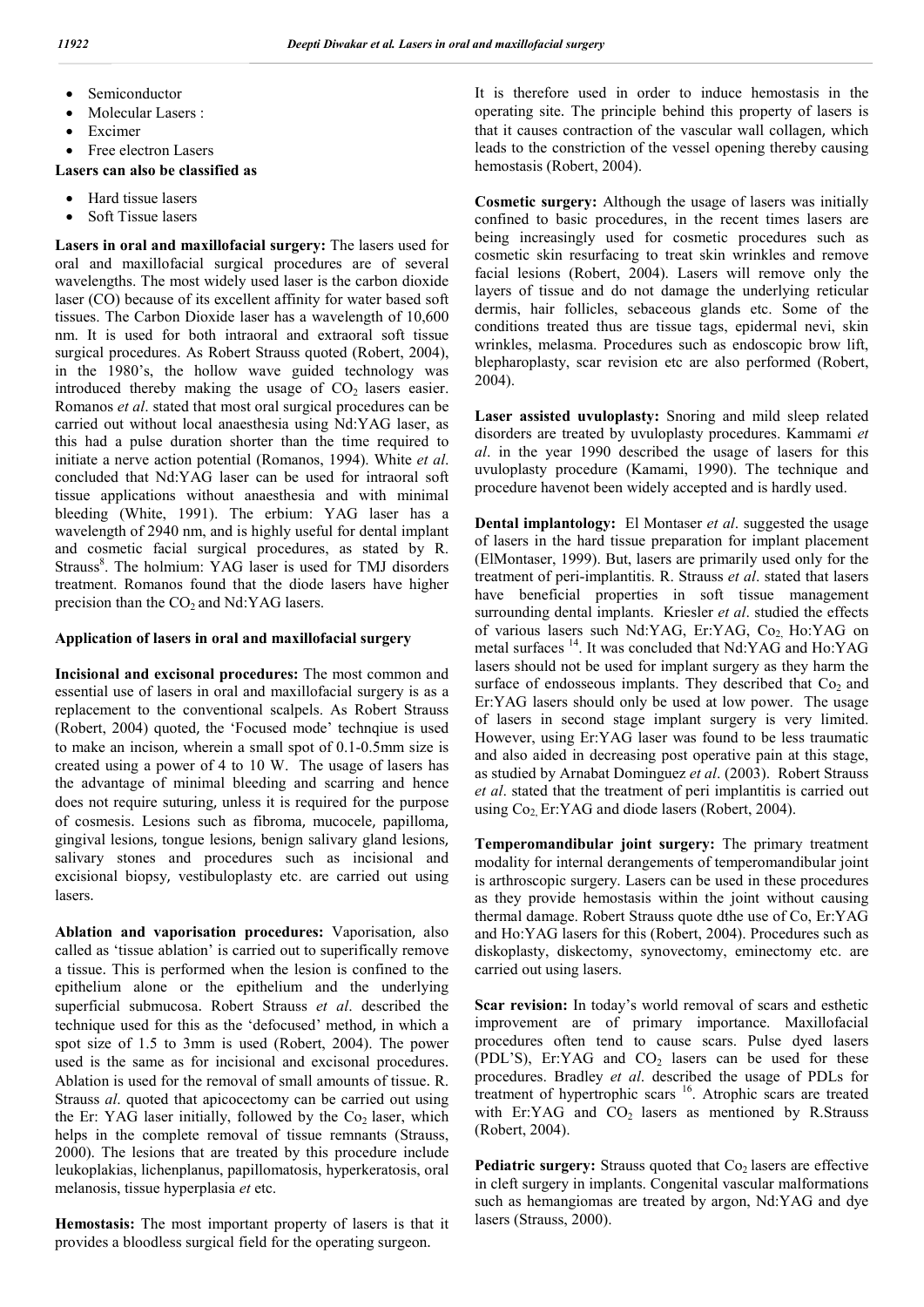- Semiconductor
- Molecular Lasers :
- Excimer
- Free electron Lasers

### **Lasers can also be classified as**

- Hard tissue lasers
- Soft Tissue lasers

**Lasers in oral and maxillofacial surgery:** The lasers used for oral and maxillofacial surgical procedures are of several wavelengths. The most widely used laser is the carbon dioxide laser (CO) because of its excellent affinity for water based soft tissues. The Carbon Dioxide laser has a wavelength of 10,600 nm. It is used for both intraoral and extraoral soft tissue surgical procedures. As Robert Strauss quoted (Robert, 2004), in the 1980's, the hollow wave guided technology was introduced thereby making the usage of  $CO<sub>2</sub>$  lasers easier. Romanos *et al*. stated that most oral surgical procedures can be carried out without local anaesthesia using Nd:YAG laser, as this had a pulse duration shorter than the time required to initiate a nerve action potential (Romanos, 1994). White *et al*. concluded that Nd:YAG laser can be used for intraoral soft tissue applications without anaesthesia and with minimal bleeding (White, 1991). The erbium: YAG laser has a wavelength of 2940 nm, and is highly useful for dental implant and cosmetic facial surgical procedures, as stated by R. Strauss<sup>8</sup>. The holmium: YAG laser is used for TMJ disorders treatment. Romanos found that the diode lasers have higher precision than the  $CO<sub>2</sub>$  and Nd:YAG lasers.

### **Application of lasers in oral and maxillofacial surgery**

**Incisional and excisonal procedures:** The most common and essential use of lasers in oral and maxillofacial surgery is as a replacement to the conventional scalpels. As Robert Strauss (Robert, 2004) quoted, the 'Focused mode' technqiue is used to make an incison, wherein a small spot of 0.1-0.5mm size is created using a power of 4 to 10 W. The usage of lasers has the advantage of minimal bleeding and scarring and hence does not require suturing, unless it is required for the purpose of cosmesis. Lesions such as fibroma, mucocele, papilloma, gingival lesions, tongue lesions, benign salivary gland lesions, salivary stones and procedures such as incisional and excisional biopsy, vestibuloplasty etc. are carried out using lasers.

**Ablation and vaporisation procedures:** Vaporisation, also called as 'tissue ablation' is carried out to superifically remove a tissue. This is performed when the lesion is confined to the epithelium alone or the epithelium and the underlying superficial submucosa. Robert Strauss *et al*. described the technique used for this as the 'defocused' method, in which a spot size of 1.5 to 3mm is used (Robert, 2004). The power used is the same as for incisional and excisonal procedures. Ablation is used for the removal of small amounts of tissue. R. Strauss *al*. quoted that apicocectomy can be carried out using the Er: YAG laser initially, followed by the  $Co<sub>2</sub>$  laser, which helps in the complete removal of tissue remnants (Strauss, 2000). The lesions that are treated by this procedure include leukoplakias, lichenplanus, papillomatosis, hyperkeratosis, oral melanosis, tissue hyperplasia *et* etc.

**Hemostasis:** The most important property of lasers is that it provides a bloodless surgical field for the operating surgeon.

It is therefore used in order to induce hemostasis in the operating site. The principle behind this property of lasers is that it causes contraction of the vascular wall collagen, which leads to the constriction of the vessel opening thereby causing hemostasis (Robert, 2004).

**Cosmetic surgery:** Although the usage of lasers was initially confined to basic procedures, in the recent times lasers are being increasingly used for cosmetic procedures such as cosmetic skin resurfacing to treat skin wrinkles and remove facial lesions (Robert, 2004). Lasers will remove only the layers of tissue and do not damage the underlying reticular dermis, hair follicles, sebaceous glands etc. Some of the conditions treated thus are tissue tags, epidermal nevi, skin wrinkles, melasma. Procedures such as endoscopic brow lift, blepharoplasty, scar revision etc are also performed (Robert, 2004).

**Laser assisted uvuloplasty:** Snoring and mild sleep related disorders are treated by uvuloplasty procedures. Kammami *et al*. in the year 1990 described the usage of lasers for this uvuloplasty procedure (Kamami, 1990). The technique and procedure havenot been widely accepted and is hardly used.

**Dental implantology:** El Montaser *et al*. suggested the usage of lasers in the hard tissue preparation for implant placement (ElMontaser, 1999). But, lasers are primarily used only for the treatment of peri-implantitis. R. Strauss *et al*. stated that lasers have beneficial properties in soft tissue management surrounding dental implants. Kriesler *et al*. studied the effects of various lasers such Nd:YAG, Er:YAG, Co<sub>2</sub> Ho:YAG on metal surfaces 14. It was concluded that Nd:YAG and Ho:YAG lasers should not be used for implant surgery as they harm the surface of endosseous implants. They described that  $Co<sub>2</sub>$  and Er:YAG lasers should only be used at low power. The usage of lasers in second stage implant surgery is very limited. However, using Er:YAG laser was found to be less traumatic and also aided in decreasing post operative pain at this stage, as studied by Arnabat Dominguez *et al*. (2003). Robert Strauss *et al*. stated that the treatment of peri implantitis is carried out using  $Co<sub>2</sub>$  Er:YAG and diode lasers (Robert, 2004).

**Temperomandibular joint surgery:** The primary treatment modality for internal derangements of temperomandibular joint is arthroscopic surgery. Lasers can be used in these procedures as they provide hemostasis within the joint without causing thermal damage. Robert Strauss quote dthe use of Co, Er:YAG and Ho:YAG lasers for this (Robert, 2004). Procedures such as diskoplasty, diskectomy, synovectomy, eminectomy etc. are carried out using lasers.

**Scar revision:** In today's world removal of scars and esthetic improvement are of primary importance. Maxillofacial procedures often tend to cause scars. Pulse dyed lasers (PDL'S), Er:YAG and  $CO<sub>2</sub>$  lasers can be used for these procedures. Bradley *et al*. described the usage of PDLs for treatment of hypertrophic scars <sup>16</sup>. Atrophic scars are treated with Er:YAG and  $CO<sub>2</sub>$  lasers as mentioned by R.Strauss (Robert, 2004).

**Pediatric surgery:** Strauss quoted that Co<sub>2</sub> lasers are effective in cleft surgery in implants. Congenital vascular malformations such as hemangiomas are treated by argon, Nd:YAG and dye lasers (Strauss, 2000).